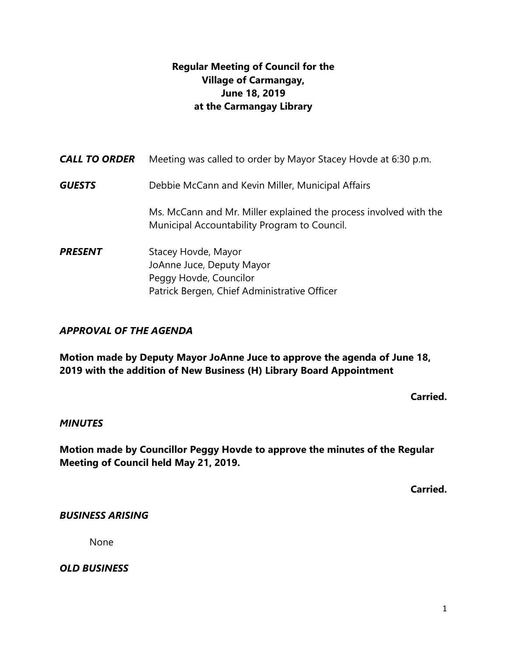# **Regular Meeting of Council for the Village of Carmangay, June 18, 2019 at the Carmangay Library**

| <b>CALL TO ORDER</b> | Meeting was called to order by Mayor Stacey Hovde at 6:30 p.m.                                                             |
|----------------------|----------------------------------------------------------------------------------------------------------------------------|
| <b>GUESTS</b>        | Debbie McCann and Kevin Miller, Municipal Affairs                                                                          |
|                      | Ms. McCann and Mr. Miller explained the process involved with the<br>Municipal Accountability Program to Council.          |
| <b>PRESENT</b>       | Stacey Hovde, Mayor<br>JoAnne Juce, Deputy Mayor<br>Peggy Hovde, Councilor<br>Patrick Bergen, Chief Administrative Officer |

## *APPROVAL OF THE AGENDA*

**Motion made by Deputy Mayor JoAnne Juce to approve the agenda of June 18, 2019 with the addition of New Business (H) Library Board Appointment**

**Carried.** 

#### *MINUTES*

**Motion made by Councillor Peggy Hovde to approve the minutes of the Regular Meeting of Council held May 21, 2019.**

**Carried.**

## *BUSINESS ARISING*

None

*OLD BUSINESS*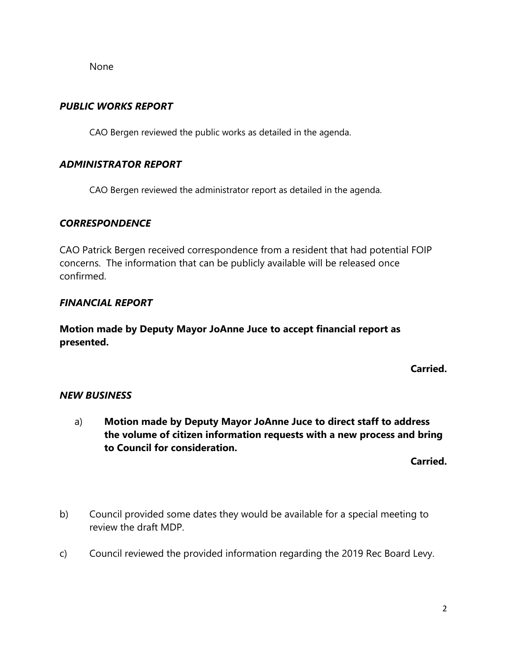None

### *PUBLIC WORKS REPORT*

CAO Bergen reviewed the public works as detailed in the agenda.

#### *ADMINISTRATOR REPORT*

CAO Bergen reviewed the administrator report as detailed in the agenda.

#### *CORRESPONDENCE*

CAO Patrick Bergen received correspondence from a resident that had potential FOIP concerns. The information that can be publicly available will be released once confirmed.

#### *FINANCIAL REPORT*

**Motion made by Deputy Mayor JoAnne Juce to accept financial report as presented.** 

**Carried.**

## *NEW BUSINESS*

a) **Motion made by Deputy Mayor JoAnne Juce to direct staff to address the volume of citizen information requests with a new process and bring to Council for consideration.** 

**Carried.**

- b) Council provided some dates they would be available for a special meeting to review the draft MDP.
- c) Council reviewed the provided information regarding the 2019 Rec Board Levy.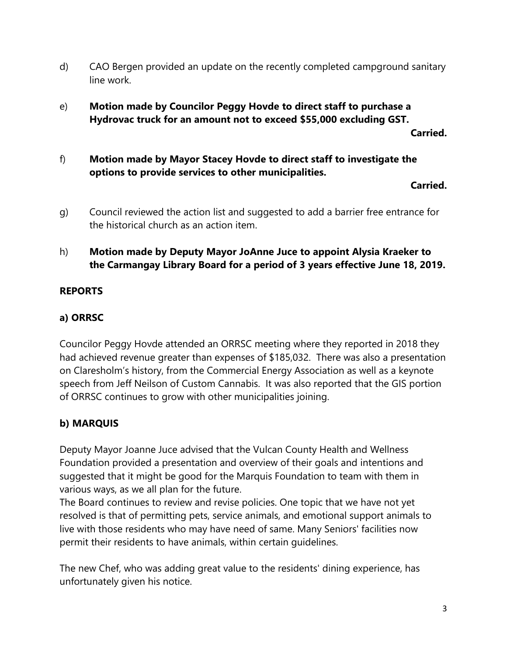- d) CAO Bergen provided an update on the recently completed campground sanitary line work.
- e) **Motion made by Councilor Peggy Hovde to direct staff to purchase a Hydrovac truck for an amount not to exceed \$55,000 excluding GST.**

**Carried.**

f) **Motion made by Mayor Stacey Hovde to direct staff to investigate the options to provide services to other municipalities.**

**Carried.**

g) Council reviewed the action list and suggested to add a barrier free entrance for the historical church as an action item.

# h) **Motion made by Deputy Mayor JoAnne Juce to appoint Alysia Kraeker to the Carmangay Library Board for a period of 3 years effective June 18, 2019.**

## **REPORTS**

## **a) ORRSC**

Councilor Peggy Hovde attended an ORRSC meeting where they reported in 2018 they had achieved revenue greater than expenses of \$185,032. There was also a presentation on Claresholm's history, from the Commercial Energy Association as well as a keynote speech from Jeff Neilson of Custom Cannabis. It was also reported that the GIS portion of ORRSC continues to grow with other municipalities joining.

# **b) MARQUIS**

Deputy Mayor Joanne Juce advised that the Vulcan County Health and Wellness Foundation provided a presentation and overview of their goals and intentions and suggested that it might be good for the Marquis Foundation to team with them in various ways, as we all plan for the future.

The Board continues to review and revise policies. One topic that we have not yet resolved is that of permitting pets, service animals, and emotional support animals to live with those residents who may have need of same. Many Seniors' facilities now permit their residents to have animals, within certain guidelines.

The new Chef, who was adding great value to the residents' dining experience, has unfortunately given his notice.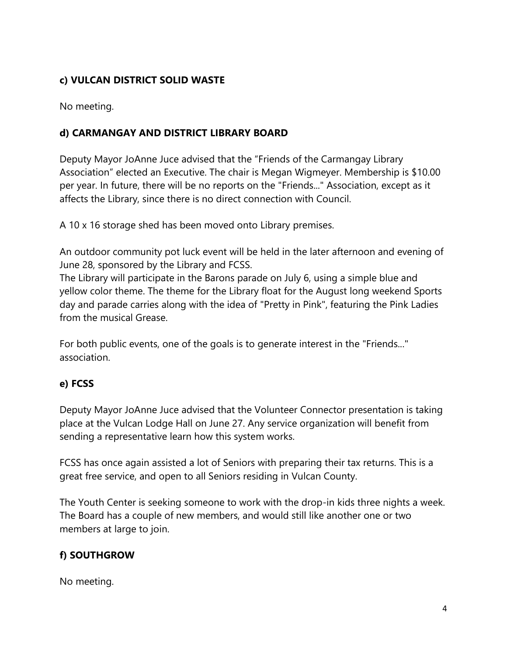# **c) VULCAN DISTRICT SOLID WASTE**

No meeting.

# **d) CARMANGAY AND DISTRICT LIBRARY BOARD**

Deputy Mayor JoAnne Juce advised that the "Friends of the Carmangay Library Association" elected an Executive. The chair is Megan Wigmeyer. Membership is \$10.00 per year. In future, there will be no reports on the "Friends..." Association, except as it affects the Library, since there is no direct connection with Council.

A 10 x 16 storage shed has been moved onto Library premises.

An outdoor community pot luck event will be held in the later afternoon and evening of June 28, sponsored by the Library and FCSS.

The Library will participate in the Barons parade on July 6, using a simple blue and yellow color theme. The theme for the Library float for the August long weekend Sports day and parade carries along with the idea of "Pretty in Pink", featuring the Pink Ladies from the musical Grease.

For both public events, one of the goals is to generate interest in the "Friends..." association.

## **e) FCSS**

Deputy Mayor JoAnne Juce advised that the Volunteer Connector presentation is taking place at the Vulcan Lodge Hall on June 27. Any service organization will benefit from sending a representative learn how this system works.

FCSS has once again assisted a lot of Seniors with preparing their tax returns. This is a great free service, and open to all Seniors residing in Vulcan County.

The Youth Center is seeking someone to work with the drop-in kids three nights a week. The Board has a couple of new members, and would still like another one or two members at large to join.

# **f) SOUTHGROW**

No meeting.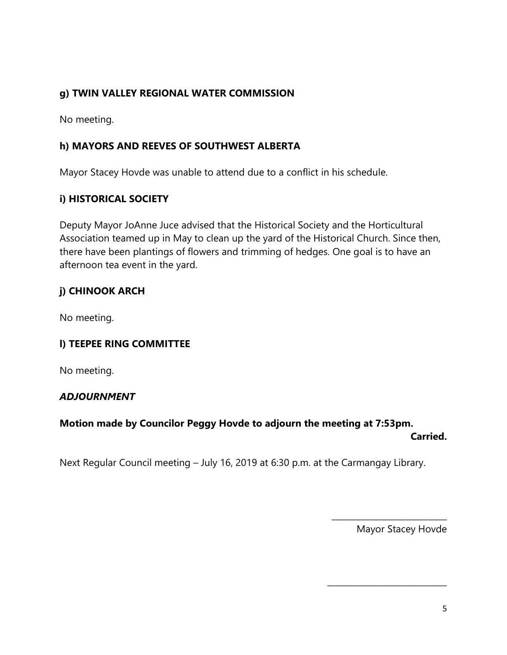## **g) TWIN VALLEY REGIONAL WATER COMMISSION**

No meeting.

## **h) MAYORS AND REEVES OF SOUTHWEST ALBERTA**

Mayor Stacey Hovde was unable to attend due to a conflict in his schedule.

## **i) HISTORICAL SOCIETY**

Deputy Mayor JoAnne Juce advised that the Historical Society and the Horticultural Association teamed up in May to clean up the yard of the Historical Church. Since then, there have been plantings of flowers and trimming of hedges. One goal is to have an afternoon tea event in the yard.

# **j) CHINOOK ARCH**

No meeting.

## **l) TEEPEE RING COMMITTEE**

No meeting.

## *ADJOURNMENT*

## **Motion made by Councilor Peggy Hovde to adjourn the meeting at 7:53pm.**

**Carried.**

Next Regular Council meeting – July 16, 2019 at 6:30 p.m. at the Carmangay Library.

Mayor Stacey Hovde

\_\_\_\_\_\_\_\_\_\_\_\_\_\_\_\_\_\_\_\_\_\_\_\_\_\_\_\_

\_\_\_\_\_\_\_\_\_\_\_\_\_\_\_\_\_\_\_\_\_\_\_\_\_\_\_\_\_